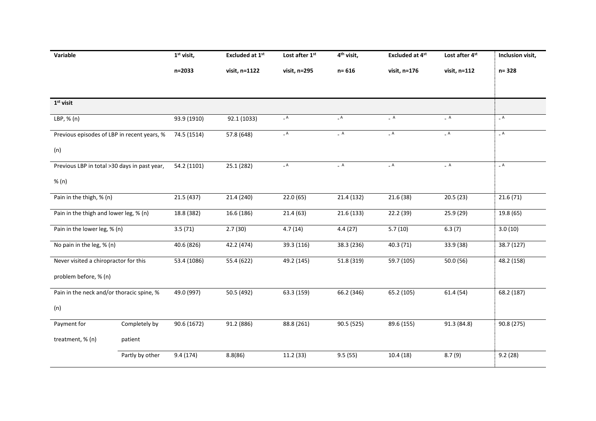| Variable                                     |                 | 1 <sup>st</sup> visit, | Excluded at 1st | Lost after 1st           | 4 <sup>th</sup> visit, | Excluded at 4 <sup>st</sup> | Lost after 4st | Inclusion visit, |
|----------------------------------------------|-----------------|------------------------|-----------------|--------------------------|------------------------|-----------------------------|----------------|------------------|
|                                              |                 | n=2033                 | visit, n=1122   | visit, n=295             | $n = 616$              | visit, n=176                | visit, n=112   | n=328            |
|                                              |                 |                        |                 |                          |                        |                             |                |                  |
| $1st$ visit                                  |                 |                        |                 |                          |                        |                             |                |                  |
| LBP, % (n)                                   |                 | 93.9 (1910)            | 92.1 (1033)     | $\char`_{\mathsf{--}}$ A | $- A$                  | $- A$                       | $- A$          | $- A$            |
| Previous episodes of LBP in recent years, %  |                 | 74.5 (1514)            | 57.8 (648)      | $\char`_{\mathsf{=}}$ A  | $- A$                  |                             | $- A$          |                  |
| (n)                                          |                 |                        |                 |                          |                        |                             |                |                  |
| Previous LBP in total >30 days in past year, |                 | 54.2 (1101)            | 25.1 (282)      | $\char`_{\mathsf{=}}$ A  | $- A$                  | $- A$                       | $- A$          |                  |
| % (n)                                        |                 |                        |                 |                          |                        |                             |                |                  |
| Pain in the thigh, % (n)                     |                 | 21.5(437)              | 21.4 (240)      | 22.0(65)                 | 21.4 (132)             | 21.6(38)                    | 20.5(23)       | 21.6(71)         |
| Pain in the thigh and lower leg, % (n)       |                 | 18.8 (382)             | 16.6 (186)      | 21.4(63)                 | 21.6(133)              | 22.2 (39)                   | 25.9 (29)      | 19.8 (65)        |
| Pain in the lower leg, % (n)                 |                 | 3.5(71)                | 2.7(30)         | 4.7(14)                  | 4.4(27)                | 5.7(10)                     | 6.3(7)         | 3.0(10)          |
| No pain in the leg, % (n)                    |                 | 40.6 (826)             | 42.2 (474)      | 39.3 (116)               | 38.3 (236)             | 40.3 (71)                   | 33.9 (38)      | 38.7 (127)       |
| Never visited a chiropractor for this        |                 | 53.4 (1086)            | 55.4(622)       | 49.2(145)                | 51.8(319)              | 59.7 (105)                  | 50.0(56)       | 48.2 (158)       |
| problem before, % (n)                        |                 |                        |                 |                          |                        |                             |                |                  |
| Pain in the neck and/or thoracic spine, %    |                 | 49.0 (997)             | 50.5 (492)      | 63.3 (159)               | 66.2 (346)             | 65.2 (105)                  | 61.4(54)       | 68.2(187)        |
| (n)                                          |                 |                        |                 |                          |                        |                             |                |                  |
| Payment for                                  | Completely by   | 90.6 (1672)            | 91.2 (886)      | 88.8 (261)               | 90.5 (525)             | 89.6 (155)                  | 91.3 (84.8)    | 90.8 (275)       |
| treatment, % (n)                             | patient         |                        |                 |                          |                        |                             |                |                  |
|                                              | Partly by other | 9.4(174)               | 8.8(86)         | 11.2 (33)                | 9.5(55)                | 10.4(18)                    | 8.7(9)         | 9.2(28)          |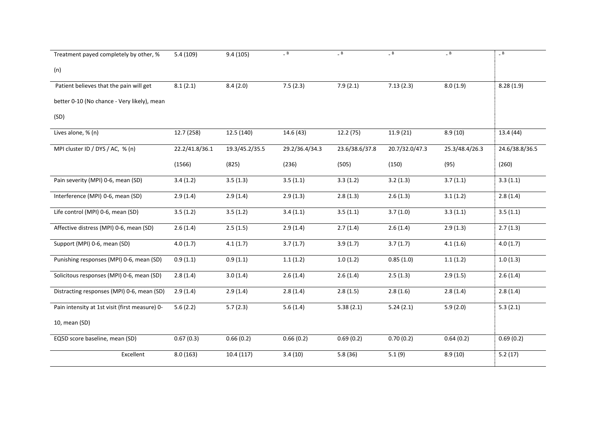| Treatment payed completely by other, %         | 5.4(109)       | 9.4(105)       | $-B$           | $- B$                  | $- B$          | $- B$          | $- B$          |
|------------------------------------------------|----------------|----------------|----------------|------------------------|----------------|----------------|----------------|
| (n)                                            |                |                |                |                        |                |                |                |
| Patient believes that the pain will get        | 8.1(2.1)       | 8.4(2.0)       | 7.5(2.3)       | 7.9(2.1)               | 7.13(2.3)      | 8.0(1.9)       | 8.28(1.9)      |
| better 0-10 (No chance - Very likely), mean    |                |                |                |                        |                |                |                |
| (SD)                                           |                |                |                |                        |                |                |                |
| Lives alone, % (n)                             | 12.7 (258)     | 12.5 (140)     | 14.6(43)       | 12.2(75)               | 11.9(21)       | 8.9(10)        | 13.4 (44)      |
| MPI cluster ID / DYS / AC, % (n)               | 22.2/41.8/36.1 | 19.3/45.2/35.5 | 29.2/36.4/34.3 | 23.6/38.6/37.8         | 20.7/32.0/47.3 | 25.3/48.4/26.3 | 24.6/38.8/36.5 |
|                                                | (1566)         | (825)          | (236)          | (505)                  | (150)          | (95)           | (260)          |
| Pain severity (MPI) 0-6, mean (SD)             | 3.4(1.2)       | 3.5(1.3)       | 3.5(1.1)       | 3.3(1.2)               | 3.2(1.3)       | 3.7(1.1)       | 3.3(1.1)       |
| Interference (MPI) 0-6, mean (SD)              | 2.9(1.4)       | 2.9(1.4)       | 2.9(1.3)       | 2.8(1.3)               | 2.6(1.3)       | 3.1(1.2)       | 2.8(1.4)       |
| Life control (MPI) 0-6, mean (SD)              | 3.5(1.2)       | 3.5(1.2)       | 3.4(1.1)       | 3.5(1.1)               | 3.7(1.0)       | 3.3(1.1)       | 3.5(1.1)       |
| Affective distress (MPI) 0-6, mean (SD)        | 2.6(1.4)       | 2.5(1.5)       | 2.9(1.4)       | $\overline{2.7}$ (1.4) | 2.6(1.4)       | 2.9(1.3)       | 2.7(1.3)       |
| Support (MPI) 0-6, mean (SD)                   | 4.0(1.7)       | 4.1(1.7)       | 3.7(1.7)       | 3.9(1.7)               | 3.7(1.7)       | 4.1(1.6)       | 4.0(1.7)       |
| Punishing responses (MPI) 0-6, mean (SD)       | 0.9(1.1)       | 0.9(1.1)       | 1.1(1.2)       | 1.0(1.2)               | 0.85(1.0)      | 1.1(1.2)       | 1.0(1.3)       |
| Solicitous responses (MPI) 0-6, mean (SD)      | 2.8(1.4)       | 3.0(1.4)       | 2.6(1.4)       | 2.6(1.4)               | 2.5(1.3)       | 2.9(1.5)       | 2.6(1.4)       |
| Distracting responses (MPI) 0-6, mean (SD)     | 2.9(1.4)       | 2.9(1.4)       | 2.8(1.4)       | 2.8(1.5)               | 2.8(1.6)       | 2.8(1.4)       | 2.8(1.4)       |
| Pain intensity at 1st visit (first measure) 0- | 5.6(2.2)       | 5.7(2.3)       | 5.6(1.4)       | 5.38(2.1)              | 5.24(2.1)      | 5.9(2.0)       | 5.3(2.1)       |
| 10, mean (SD)                                  |                |                |                |                        |                |                |                |
| EQ5D score baseline, mean (SD)                 | 0.67(0.3)      | 0.66(0.2)      | 0.66(0.2)      | 0.69(0.2)              | 0.70(0.2)      | 0.64(0.2)      | 0.69(0.2)      |
| Excellent                                      | 8.0(163)       | 10.4(117)      | 3.4(10)        | 5.8(36)                | 5.1(9)         | 8.9(10)        | 5.2(17)        |